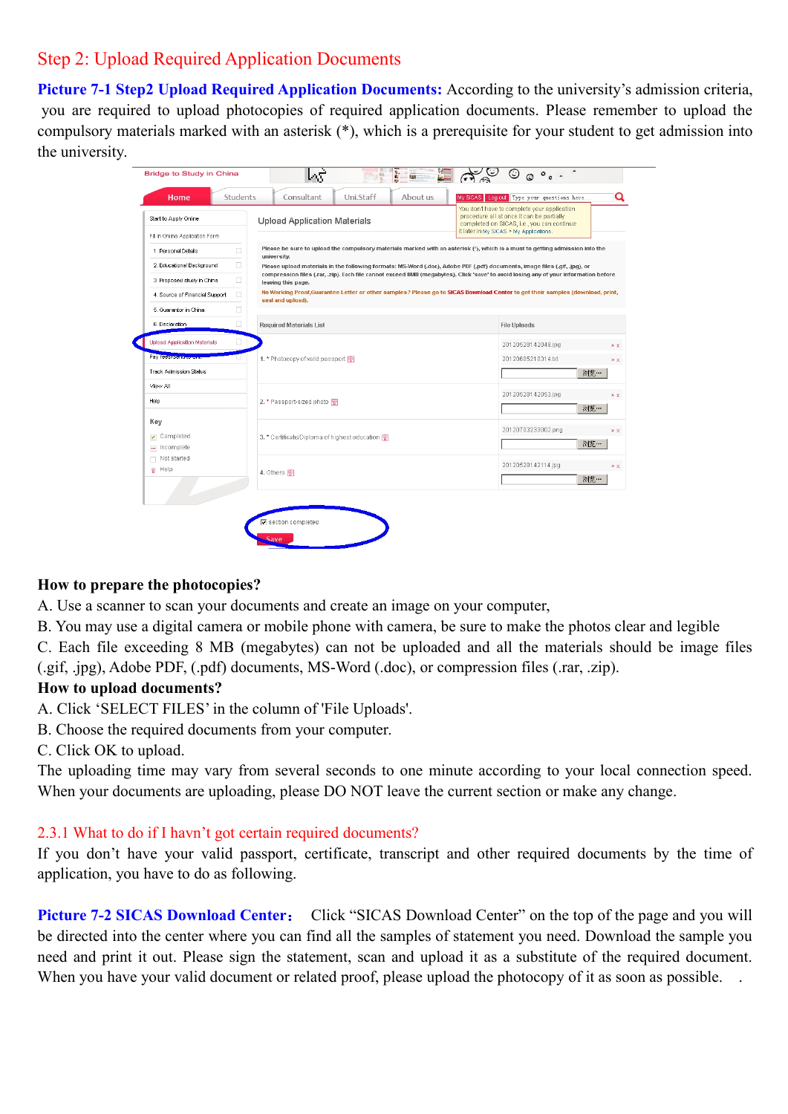# Step 2: Upload Required Application Documents

**Picture 7-1 Step2 Upload Required Application Documents:** According to the university's admission criteria, you are required to upload photocopies of required application documents. Please remember to upload the compulsory materials marked with an asterisk (\*), which is a prerequisite for your student to get admission into the university.

| You don't have to complete your application<br>procedure all at once. It can be partially<br>Start to Apply Online<br><b>Upload Application Materials</b><br>completed on SICAS, i.e., you can continue<br>it later in My SICAS > My Applications.<br>Fill in Online Application Form<br>Please be sure to upload the compulsory materials marked with an asterisk (*), which is a must to getting admission into the<br>□<br>1. Personal Details<br>university.<br>□<br>2. Educational Background<br>Please upload materials in the following formats: MS-Word (.doc), Adobe PDF (.pdf) documents, image files (.gif, .jpg), or<br>compression files (.rar, .zip). Each file cannot exceed 8MB (megabytes). Click 'save' to avoid losing any of your information before<br>□<br>3. Proposed study in China<br>leaving this page.<br>No Working Proof,Guarantee Letter or other samples? Please go to SICAS Download Center to get their samples (download, print,<br>л<br>4. Source of Financial Support<br>seal and upload).<br>□<br>5. Guarantor in China<br>п<br>6. Declaration<br><b>Required Materials List</b><br><b>File Uploads</b><br><b>Upload Application Materials</b><br>□<br>20120528142049.jpg<br>Pay fees/senancroning<br>1. * Photocopy of valid passport<br>20120605210314.bd<br><b>Track Admission Status</b><br>浏览…<br>View All<br>20120528142053.jpg<br>$*$ $\times$<br>Help<br>2. * Passport-sized photo 图<br>浏览…<br>Key<br>20120703233002.png<br>Completed<br>3. * Certificate/Diploma of highest education [9]<br>浏览…<br>- Incomplete<br>$\Box$ Not started<br>20120528142114.jpg<br>$Q$ Help<br>4. Others <sup>[9]</sup><br>浏览… | Home | Students | Consultant                 | Uni.Staff | About us |  | My SICAS Log out Type your questions here | Q              |  |  |
|-----------------------------------------------------------------------------------------------------------------------------------------------------------------------------------------------------------------------------------------------------------------------------------------------------------------------------------------------------------------------------------------------------------------------------------------------------------------------------------------------------------------------------------------------------------------------------------------------------------------------------------------------------------------------------------------------------------------------------------------------------------------------------------------------------------------------------------------------------------------------------------------------------------------------------------------------------------------------------------------------------------------------------------------------------------------------------------------------------------------------------------------------------------------------------------------------------------------------------------------------------------------------------------------------------------------------------------------------------------------------------------------------------------------------------------------------------------------------------------------------------------------------------------------------------------------------------------------------------------------------------------------------------------|------|----------|----------------------------|-----------|----------|--|-------------------------------------------|----------------|--|--|
|                                                                                                                                                                                                                                                                                                                                                                                                                                                                                                                                                                                                                                                                                                                                                                                                                                                                                                                                                                                                                                                                                                                                                                                                                                                                                                                                                                                                                                                                                                                                                                                                                                                           |      |          |                            |           |          |  |                                           |                |  |  |
|                                                                                                                                                                                                                                                                                                                                                                                                                                                                                                                                                                                                                                                                                                                                                                                                                                                                                                                                                                                                                                                                                                                                                                                                                                                                                                                                                                                                                                                                                                                                                                                                                                                           |      |          |                            |           |          |  |                                           |                |  |  |
|                                                                                                                                                                                                                                                                                                                                                                                                                                                                                                                                                                                                                                                                                                                                                                                                                                                                                                                                                                                                                                                                                                                                                                                                                                                                                                                                                                                                                                                                                                                                                                                                                                                           |      |          |                            |           |          |  |                                           |                |  |  |
|                                                                                                                                                                                                                                                                                                                                                                                                                                                                                                                                                                                                                                                                                                                                                                                                                                                                                                                                                                                                                                                                                                                                                                                                                                                                                                                                                                                                                                                                                                                                                                                                                                                           |      |          |                            |           |          |  |                                           |                |  |  |
|                                                                                                                                                                                                                                                                                                                                                                                                                                                                                                                                                                                                                                                                                                                                                                                                                                                                                                                                                                                                                                                                                                                                                                                                                                                                                                                                                                                                                                                                                                                                                                                                                                                           |      |          |                            |           |          |  |                                           |                |  |  |
|                                                                                                                                                                                                                                                                                                                                                                                                                                                                                                                                                                                                                                                                                                                                                                                                                                                                                                                                                                                                                                                                                                                                                                                                                                                                                                                                                                                                                                                                                                                                                                                                                                                           |      |          |                            |           |          |  |                                           |                |  |  |
|                                                                                                                                                                                                                                                                                                                                                                                                                                                                                                                                                                                                                                                                                                                                                                                                                                                                                                                                                                                                                                                                                                                                                                                                                                                                                                                                                                                                                                                                                                                                                                                                                                                           |      |          |                            |           |          |  |                                           |                |  |  |
|                                                                                                                                                                                                                                                                                                                                                                                                                                                                                                                                                                                                                                                                                                                                                                                                                                                                                                                                                                                                                                                                                                                                                                                                                                                                                                                                                                                                                                                                                                                                                                                                                                                           |      |          |                            |           |          |  |                                           |                |  |  |
|                                                                                                                                                                                                                                                                                                                                                                                                                                                                                                                                                                                                                                                                                                                                                                                                                                                                                                                                                                                                                                                                                                                                                                                                                                                                                                                                                                                                                                                                                                                                                                                                                                                           |      |          |                            |           |          |  |                                           | $*$ $\times$   |  |  |
|                                                                                                                                                                                                                                                                                                                                                                                                                                                                                                                                                                                                                                                                                                                                                                                                                                                                                                                                                                                                                                                                                                                                                                                                                                                                                                                                                                                                                                                                                                                                                                                                                                                           |      |          |                            |           |          |  |                                           | $*$ $\times$   |  |  |
|                                                                                                                                                                                                                                                                                                                                                                                                                                                                                                                                                                                                                                                                                                                                                                                                                                                                                                                                                                                                                                                                                                                                                                                                                                                                                                                                                                                                                                                                                                                                                                                                                                                           |      |          |                            |           |          |  |                                           |                |  |  |
|                                                                                                                                                                                                                                                                                                                                                                                                                                                                                                                                                                                                                                                                                                                                                                                                                                                                                                                                                                                                                                                                                                                                                                                                                                                                                                                                                                                                                                                                                                                                                                                                                                                           |      |          |                            |           |          |  |                                           |                |  |  |
|                                                                                                                                                                                                                                                                                                                                                                                                                                                                                                                                                                                                                                                                                                                                                                                                                                                                                                                                                                                                                                                                                                                                                                                                                                                                                                                                                                                                                                                                                                                                                                                                                                                           |      |          |                            |           |          |  |                                           |                |  |  |
|                                                                                                                                                                                                                                                                                                                                                                                                                                                                                                                                                                                                                                                                                                                                                                                                                                                                                                                                                                                                                                                                                                                                                                                                                                                                                                                                                                                                                                                                                                                                                                                                                                                           |      |          |                            |           |          |  |                                           |                |  |  |
|                                                                                                                                                                                                                                                                                                                                                                                                                                                                                                                                                                                                                                                                                                                                                                                                                                                                                                                                                                                                                                                                                                                                                                                                                                                                                                                                                                                                                                                                                                                                                                                                                                                           |      |          |                            |           |          |  |                                           | $\gg$ $\times$ |  |  |
|                                                                                                                                                                                                                                                                                                                                                                                                                                                                                                                                                                                                                                                                                                                                                                                                                                                                                                                                                                                                                                                                                                                                                                                                                                                                                                                                                                                                                                                                                                                                                                                                                                                           |      |          |                            |           |          |  |                                           |                |  |  |
|                                                                                                                                                                                                                                                                                                                                                                                                                                                                                                                                                                                                                                                                                                                                                                                                                                                                                                                                                                                                                                                                                                                                                                                                                                                                                                                                                                                                                                                                                                                                                                                                                                                           |      |          |                            |           |          |  | $*$ $\times$                              |                |  |  |
|                                                                                                                                                                                                                                                                                                                                                                                                                                                                                                                                                                                                                                                                                                                                                                                                                                                                                                                                                                                                                                                                                                                                                                                                                                                                                                                                                                                                                                                                                                                                                                                                                                                           |      |          |                            |           |          |  |                                           |                |  |  |
|                                                                                                                                                                                                                                                                                                                                                                                                                                                                                                                                                                                                                                                                                                                                                                                                                                                                                                                                                                                                                                                                                                                                                                                                                                                                                                                                                                                                                                                                                                                                                                                                                                                           |      |          |                            |           |          |  |                                           |                |  |  |
|                                                                                                                                                                                                                                                                                                                                                                                                                                                                                                                                                                                                                                                                                                                                                                                                                                                                                                                                                                                                                                                                                                                                                                                                                                                                                                                                                                                                                                                                                                                                                                                                                                                           |      |          | <b>▽</b> section completed |           |          |  |                                           |                |  |  |

## **How to prepare the photocopies?**

- A. Use a scanner to scan your documents and create an image on your computer,
- B. You may use a digital camera or mobile phone with camera, be sure to make the photos clear and legible
- C. Each file exceeding 8 MB (megabytes) can not be uploaded and all the materials should be image files
- (.gif, .jpg), Adobe PDF, (.pdf) documents, MS-Word (.doc), or compression files (.rar, .zip).

## **How to upload documents?**

- A. Click 'SELECT FILES' in the column of 'File Uploads'.
- B. Choose the required documents from your computer.
- C. Click OK to upload.

The uploading time may vary from several seconds to one minute according to your local connection speed. When your documents are uploading, please DO NOT leave the current section or make any change.

## 2.3.1 What to do if I havn't got certain required documents?

If you don't have your valid passport, certificate, transcript and other required documents by the time of application, you have to do as following.

**Picture 7-2 SICAS Download Center**: Click "SICAS Download Center" on the top of the page and you will be directed into the center where you can find all the samples of statement you need. Download the sample you need and print it out. Please sign the statement, scan and upload it as a substitute of the required document. When you have your valid document or related proof, please upload the photocopy of it as soon as possible.